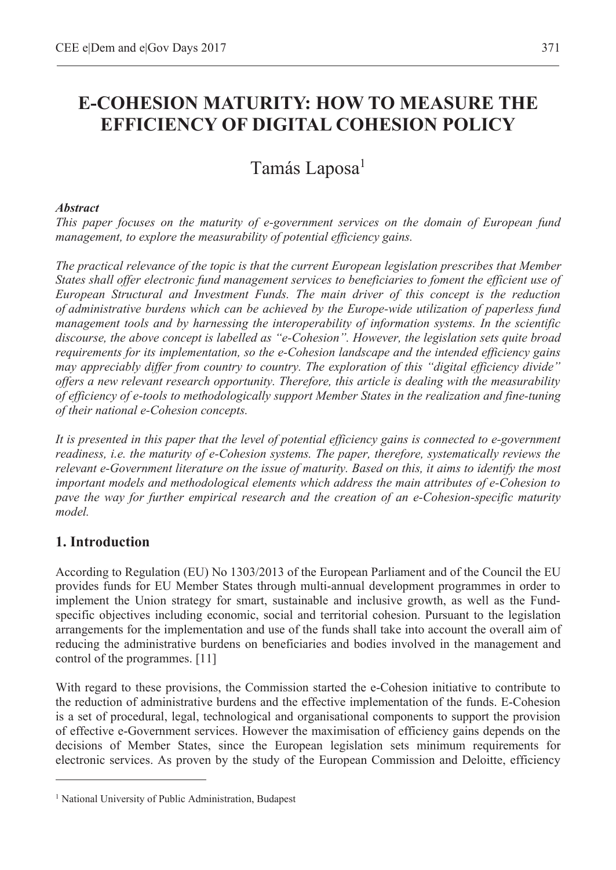# **E-COHESION MATURITY: HOW TO MEASURE THE EFFICIENCY OF DIGITAL COHESION POLICY**

# Tamás Laposa<sup>1</sup>

#### *Abstract*

*This paper focuses on the maturity of e-government services on the domain of European fund management, to explore the measurability of potential efficiency gains.* 

*The practical relevance of the topic is that the current European legislation prescribes that Member States shall offer electronic fund management services to beneficiaries to foment the efficient use of European Structural and Investment Funds. The main driver of this concept is the reduction of administrative burdens which can be achieved by the Europe-wide utilization of paperless fund management tools and by harnessing the interoperability of information systems. In the scientific discourse, the above concept is labelled as "e-Cohesion". However, the legislation sets quite broad requirements for its implementation, so the e-Cohesion landscape and the intended efficiency gains may appreciably differ from country to country. The exploration of this "digital efficiency divide" offers a new relevant research opportunity. Therefore, this article is dealing with the measurability of efficiency of e-tools to methodologically support Member States in the realization and fine-tuning of their national e-Cohesion concepts.* 

*It is presented in this paper that the level of potential efficiency gains is connected to e-government readiness, i.e. the maturity of e-Cohesion systems. The paper, therefore, systematically reviews the relevant e-Government literature on the issue of maturity. Based on this, it aims to identify the most important models and methodological elements which address the main attributes of e-Cohesion to pave the way for further empirical research and the creation of an e-Cohesion-specific maturity model.* 

# **1. Introduction**

 $\overline{a}$ 

According to Regulation (EU) No 1303/2013 of the European Parliament and of the Council the EU provides funds for EU Member States through multi-annual development programmes in order to implement the Union strategy for smart, sustainable and inclusive growth, as well as the Fundspecific objectives including economic, social and territorial cohesion. Pursuant to the legislation arrangements for the implementation and use of the funds shall take into account the overall aim of reducing the administrative burdens on beneficiaries and bodies involved in the management and control of the programmes. [11]

With regard to these provisions, the Commission started the e-Cohesion initiative to contribute to the reduction of administrative burdens and the effective implementation of the funds. E-Cohesion is a set of procedural, legal, technological and organisational components to support the provision of effective e-Government services. However the maximisation of efficiency gains depends on the decisions of Member States, since the European legislation sets minimum requirements for electronic services. As proven by the study of the European Commission and Deloitte, efficiency

<sup>&</sup>lt;sup>1</sup> National University of Public Administration, Budapest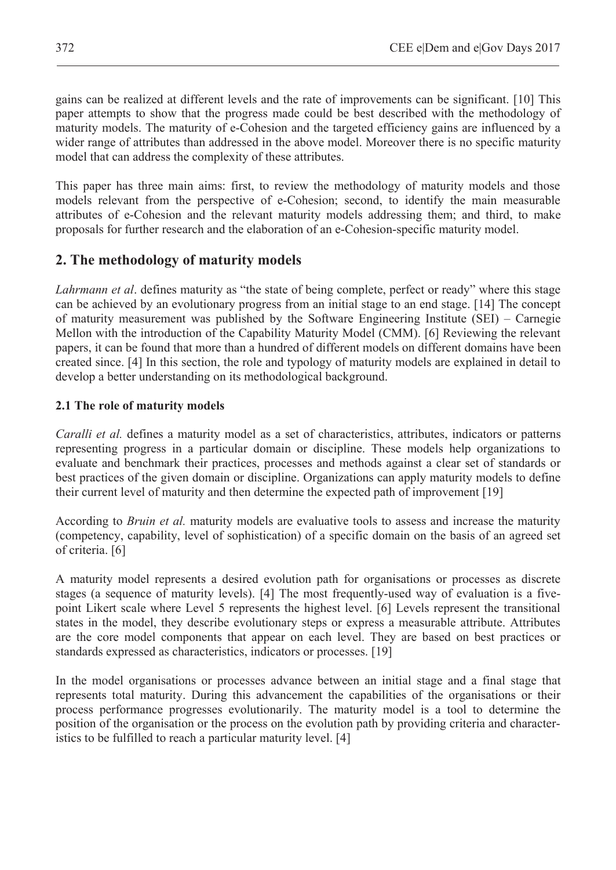gains can be realized at different levels and the rate of improvements can be significant. [10] This paper attempts to show that the progress made could be best described with the methodology of maturity models. The maturity of e-Cohesion and the targeted efficiency gains are influenced by a wider range of attributes than addressed in the above model. Moreover there is no specific maturity model that can address the complexity of these attributes.

This paper has three main aims: first, to review the methodology of maturity models and those models relevant from the perspective of e-Cohesion; second, to identify the main measurable attributes of e-Cohesion and the relevant maturity models addressing them; and third, to make proposals for further research and the elaboration of an e-Cohesion-specific maturity model.

### **2. The methodology of maturity models**

*Lahrmann et al*. defines maturity as "the state of being complete, perfect or ready" where this stage can be achieved by an evolutionary progress from an initial stage to an end stage. [14] The concept of maturity measurement was published by the Software Engineering Institute (SEI) – Carnegie Mellon with the introduction of the Capability Maturity Model (CMM). [6] Reviewing the relevant papers, it can be found that more than a hundred of different models on different domains have been created since. [4] In this section, the role and typology of maturity models are explained in detail to develop a better understanding on its methodological background.

#### **2.1 The role of maturity models**

*Caralli et al.* defines a maturity model as a set of characteristics, attributes, indicators or patterns representing progress in a particular domain or discipline. These models help organizations to evaluate and benchmark their practices, processes and methods against a clear set of standards or best practices of the given domain or discipline. Organizations can apply maturity models to define their current level of maturity and then determine the expected path of improvement [19]

According to *Bruin et al.* maturity models are evaluative tools to assess and increase the maturity (competency, capability, level of sophistication) of a specific domain on the basis of an agreed set of criteria. [6]

A maturity model represents a desired evolution path for organisations or processes as discrete stages (a sequence of maturity levels). [4] The most frequently-used way of evaluation is a fivepoint Likert scale where Level 5 represents the highest level. [6] Levels represent the transitional states in the model, they describe evolutionary steps or express a measurable attribute. Attributes are the core model components that appear on each level. They are based on best practices or standards expressed as characteristics, indicators or processes. [19]

In the model organisations or processes advance between an initial stage and a final stage that represents total maturity. During this advancement the capabilities of the organisations or their process performance progresses evolutionarily. The maturity model is a tool to determine the position of the organisation or the process on the evolution path by providing criteria and characteristics to be fulfilled to reach a particular maturity level. [4]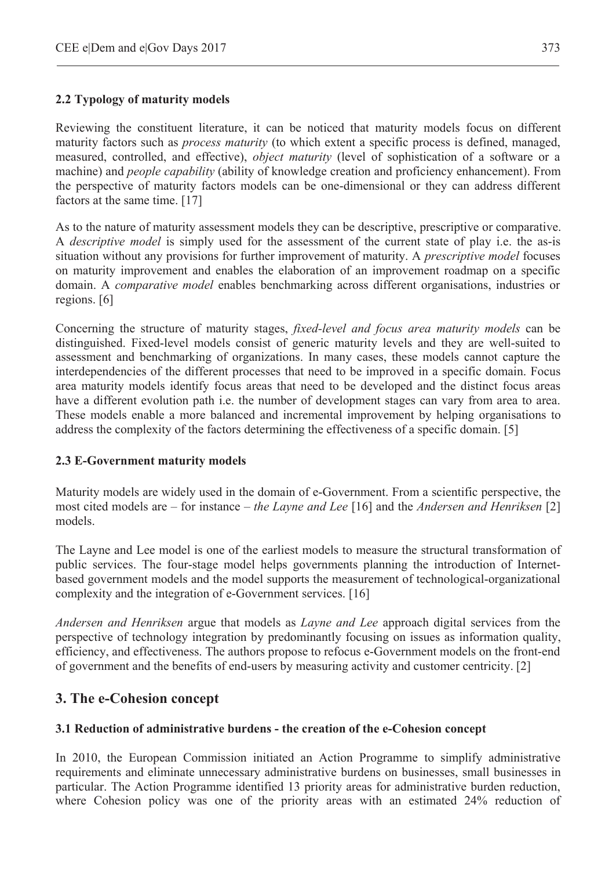### **2.2 Typology of maturity models**

Reviewing the constituent literature, it can be noticed that maturity models focus on different maturity factors such as *process maturity* (to which extent a specific process is defined, managed, measured, controlled, and effective), *object maturity* (level of sophistication of a software or a machine) and *people capability* (ability of knowledge creation and proficiency enhancement). From the perspective of maturity factors models can be one-dimensional or they can address different factors at the same time. [17]

As to the nature of maturity assessment models they can be descriptive, prescriptive or comparative. A *descriptive model* is simply used for the assessment of the current state of play i.e. the as-is situation without any provisions for further improvement of maturity. A *prescriptive model* focuses on maturity improvement and enables the elaboration of an improvement roadmap on a specific domain. A *comparative model* enables benchmarking across different organisations, industries or regions. [6]

Concerning the structure of maturity stages, *fixed-level and focus area maturity models* can be distinguished. Fixed-level models consist of generic maturity levels and they are well-suited to assessment and benchmarking of organizations. In many cases, these models cannot capture the interdependencies of the different processes that need to be improved in a specific domain. Focus area maturity models identify focus areas that need to be developed and the distinct focus areas have a different evolution path i.e. the number of development stages can vary from area to area. These models enable a more balanced and incremental improvement by helping organisations to address the complexity of the factors determining the effectiveness of a specific domain. [5]

#### **2.3 E-Government maturity models**

Maturity models are widely used in the domain of e-Government. From a scientific perspective, the most cited models are – for instance – *the Layne and Lee* [16] and the *Andersen and Henriksen* [2] models.

The Layne and Lee model is one of the earliest models to measure the structural transformation of public services. The four-stage model helps governments planning the introduction of Internetbased government models and the model supports the measurement of technological-organizational complexity and the integration of e-Government services. [16]

*Andersen and Henriksen* argue that models as *Layne and Lee* approach digital services from the perspective of technology integration by predominantly focusing on issues as information quality, efficiency, and effectiveness. The authors propose to refocus e-Government models on the front-end of government and the benefits of end-users by measuring activity and customer centricity. [2]

# **3. The e-Cohesion concept**

#### **3.1 Reduction of administrative burdens - the creation of the e-Cohesion concept**

In 2010, the European Commission initiated an Action Programme to simplify administrative requirements and eliminate unnecessary administrative burdens on businesses, small businesses in particular. The Action Programme identified 13 priority areas for administrative burden reduction, where Cohesion policy was one of the priority areas with an estimated 24% reduction of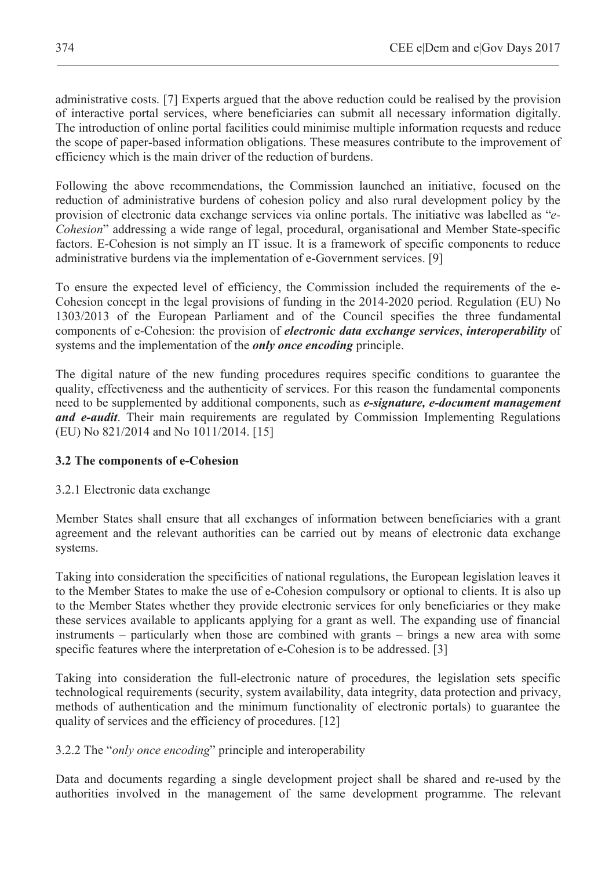administrative costs. [7] Experts argued that the above reduction could be realised by the provision of interactive portal services, where beneficiaries can submit all necessary information digitally. The introduction of online portal facilities could minimise multiple information requests and reduce the scope of paper-based information obligations. These measures contribute to the improvement of efficiency which is the main driver of the reduction of burdens.

Following the above recommendations, the Commission launched an initiative, focused on the reduction of administrative burdens of cohesion policy and also rural development policy by the provision of electronic data exchange services via online portals. The initiative was labelled as "*e-Cohesion*" addressing a wide range of legal, procedural, organisational and Member State-specific factors. E-Cohesion is not simply an IT issue. It is a framework of specific components to reduce administrative burdens via the implementation of e-Government services. [9]

To ensure the expected level of efficiency, the Commission included the requirements of the e-Cohesion concept in the legal provisions of funding in the 2014-2020 period. Regulation (EU) No 1303/2013 of the European Parliament and of the Council specifies the three fundamental components of e-Cohesion: the provision of *electronic data exchange services*, *interoperability* of systems and the implementation of the *only once encoding* principle.

The digital nature of the new funding procedures requires specific conditions to guarantee the quality, effectiveness and the authenticity of services. For this reason the fundamental components need to be supplemented by additional components, such as *e-signature, e-document management and e-audit*. Their main requirements are regulated by Commission Implementing Regulations (EU) No 821/2014 and No 1011/2014. [15]

#### **3.2 The components of e-Cohesion**

#### 3.2.1 Electronic data exchange

Member States shall ensure that all exchanges of information between beneficiaries with a grant agreement and the relevant authorities can be carried out by means of electronic data exchange systems.

Taking into consideration the specificities of national regulations, the European legislation leaves it to the Member States to make the use of e-Cohesion compulsory or optional to clients. It is also up to the Member States whether they provide electronic services for only beneficiaries or they make these services available to applicants applying for a grant as well. The expanding use of financial instruments – particularly when those are combined with grants – brings a new area with some specific features where the interpretation of e-Cohesion is to be addressed. [3]

Taking into consideration the full-electronic nature of procedures, the legislation sets specific technological requirements (security, system availability, data integrity, data protection and privacy, methods of authentication and the minimum functionality of electronic portals) to guarantee the quality of services and the efficiency of procedures. [12]

#### 3.2.2 The "*only once encoding*" principle and interoperability

Data and documents regarding a single development project shall be shared and re-used by the authorities involved in the management of the same development programme. The relevant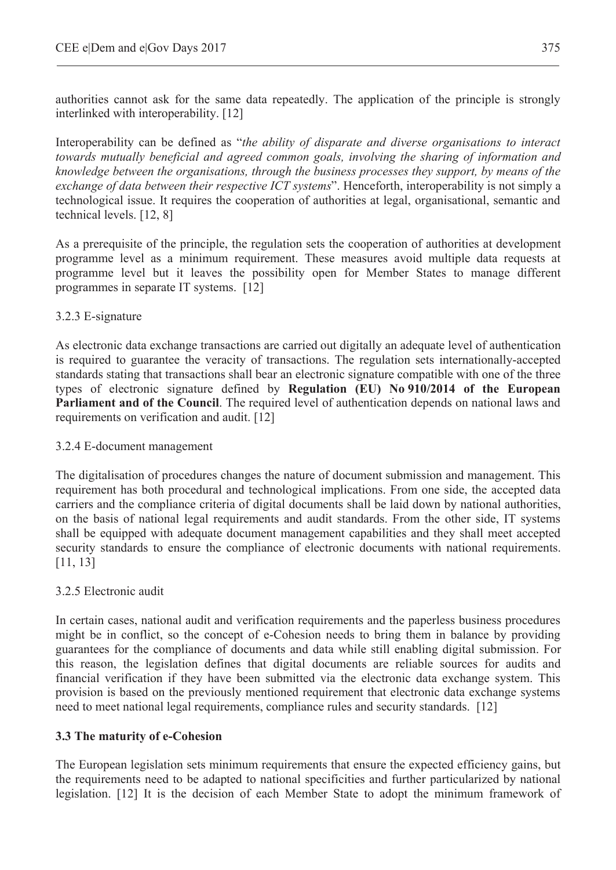authorities cannot ask for the same data repeatedly. The application of the principle is strongly interlinked with interoperability. [12]

Interoperability can be defined as "*the ability of disparate and diverse organisations to interact towards mutually beneficial and agreed common goals, involving the sharing of information and knowledge between the organisations, through the business processes they support, by means of the exchange of data between their respective ICT systems*". Henceforth, interoperability is not simply a technological issue. It requires the cooperation of authorities at legal, organisational, semantic and technical levels. [12, 8]

As a prerequisite of the principle, the regulation sets the cooperation of authorities at development programme level as a minimum requirement. These measures avoid multiple data requests at programme level but it leaves the possibility open for Member States to manage different programmes in separate IT systems. [12]

### 3.2.3 E-signature

As electronic data exchange transactions are carried out digitally an adequate level of authentication is required to guarantee the veracity of transactions. The regulation sets internationally-accepted standards stating that transactions shall bear an electronic signature compatible with one of the three types of electronic signature defined by **Regulation (EU) No 910/2014 of the European Parliament and of the Council**. The required level of authentication depends on national laws and requirements on verification and audit. [12]

3.2.4 E-document management

The digitalisation of procedures changes the nature of document submission and management. This requirement has both procedural and technological implications. From one side, the accepted data carriers and the compliance criteria of digital documents shall be laid down by national authorities, on the basis of national legal requirements and audit standards. From the other side, IT systems shall be equipped with adequate document management capabilities and they shall meet accepted security standards to ensure the compliance of electronic documents with national requirements. [11, 13]

#### 3.2.5 Electronic audit

In certain cases, national audit and verification requirements and the paperless business procedures might be in conflict, so the concept of e-Cohesion needs to bring them in balance by providing guarantees for the compliance of documents and data while still enabling digital submission. For this reason, the legislation defines that digital documents are reliable sources for audits and financial verification if they have been submitted via the electronic data exchange system. This provision is based on the previously mentioned requirement that electronic data exchange systems need to meet national legal requirements, compliance rules and security standards. [12]

#### **3.3 The maturity of e-Cohesion**

The European legislation sets minimum requirements that ensure the expected efficiency gains, but the requirements need to be adapted to national specificities and further particularized by national legislation. [12] It is the decision of each Member State to adopt the minimum framework of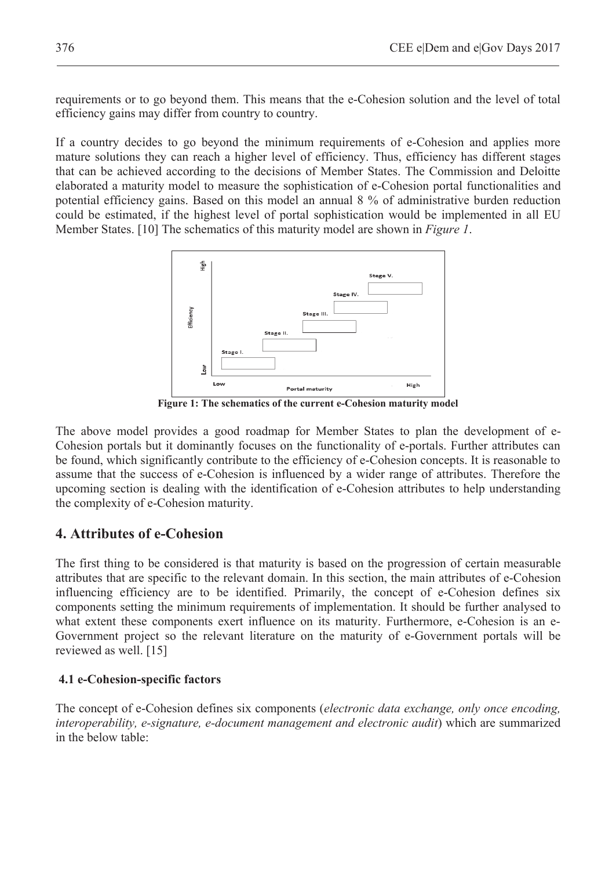requirements or to go beyond them. This means that the e-Cohesion solution and the level of total efficiency gains may differ from country to country.

If a country decides to go beyond the minimum requirements of e-Cohesion and applies more mature solutions they can reach a higher level of efficiency. Thus, efficiency has different stages that can be achieved according to the decisions of Member States. The Commission and Deloitte elaborated a maturity model to measure the sophistication of e-Cohesion portal functionalities and potential efficiency gains. Based on this model an annual 8 % of administrative burden reduction could be estimated, if the highest level of portal sophistication would be implemented in all EU Member States. [10] The schematics of this maturity model are shown in *Figure 1*.



**Figure 1: The schematics of the current e-Cohesion maturity model** 

The above model provides a good roadmap for Member States to plan the development of e-Cohesion portals but it dominantly focuses on the functionality of e-portals. Further attributes can be found, which significantly contribute to the efficiency of e-Cohesion concepts. It is reasonable to assume that the success of e-Cohesion is influenced by a wider range of attributes. Therefore the upcoming section is dealing with the identification of e-Cohesion attributes to help understanding the complexity of e-Cohesion maturity.

#### **4. Attributes of e-Cohesion**

The first thing to be considered is that maturity is based on the progression of certain measurable attributes that are specific to the relevant domain. In this section, the main attributes of e-Cohesion influencing efficiency are to be identified. Primarily, the concept of e-Cohesion defines six components setting the minimum requirements of implementation. It should be further analysed to what extent these components exert influence on its maturity. Furthermore, e-Cohesion is an e-Government project so the relevant literature on the maturity of e-Government portals will be reviewed as well. [15]

#### **4.1 e-Cohesion-specific factors**

The concept of e-Cohesion defines six components (*electronic data exchange, only once encoding, interoperability, e-signature, e-document management and electronic audit*) which are summarized in the below table: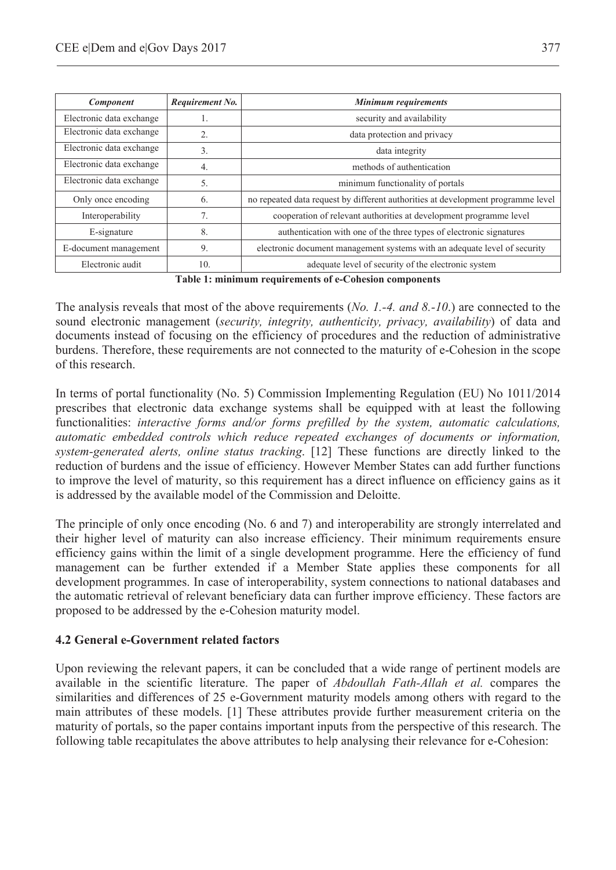| Component                | Requirement No.  | Minimum requirements                                                             |  |  |  |  |
|--------------------------|------------------|----------------------------------------------------------------------------------|--|--|--|--|
| Electronic data exchange |                  | security and availability                                                        |  |  |  |  |
| Electronic data exchange | $\overline{2}$ . | data protection and privacy                                                      |  |  |  |  |
| Electronic data exchange | 3.               | data integrity                                                                   |  |  |  |  |
| Electronic data exchange | 4.               | methods of authentication                                                        |  |  |  |  |
| Electronic data exchange | 5.               | minimum functionality of portals                                                 |  |  |  |  |
| Only once encoding       | 6.               | no repeated data request by different authorities at development programme level |  |  |  |  |
| Interoperability         | 7.               | cooperation of relevant authorities at development programme level               |  |  |  |  |
| E-signature              | 8.               | authentication with one of the three types of electronic signatures              |  |  |  |  |
| E-document management    | 9.               | electronic document management systems with an adequate level of security        |  |  |  |  |
| Electronic audit         | 10.              | adequate level of security of the electronic system<br>_____                     |  |  |  |  |

**Table 1: minimum requirements of e-Cohesion components**

The analysis reveals that most of the above requirements (*No. 1.-4. and 8.-10*.) are connected to the sound electronic management (*security, integrity, authenticity, privacy, availability*) of data and documents instead of focusing on the efficiency of procedures and the reduction of administrative burdens. Therefore, these requirements are not connected to the maturity of e-Cohesion in the scope of this research.

In terms of portal functionality (No. 5) Commission Implementing Regulation (EU) No 1011/2014 prescribes that electronic data exchange systems shall be equipped with at least the following functionalities: *interactive forms and/or forms prefilled by the system, automatic calculations, automatic embedded controls which reduce repeated exchanges of documents or information, system-generated alerts, online status tracking*. [12] These functions are directly linked to the reduction of burdens and the issue of efficiency. However Member States can add further functions to improve the level of maturity, so this requirement has a direct influence on efficiency gains as it is addressed by the available model of the Commission and Deloitte.

The principle of only once encoding (No. 6 and 7) and interoperability are strongly interrelated and their higher level of maturity can also increase efficiency. Their minimum requirements ensure efficiency gains within the limit of a single development programme. Here the efficiency of fund management can be further extended if a Member State applies these components for all development programmes. In case of interoperability, system connections to national databases and the automatic retrieval of relevant beneficiary data can further improve efficiency. These factors are proposed to be addressed by the e-Cohesion maturity model.

#### **4.2 General e-Government related factors**

Upon reviewing the relevant papers, it can be concluded that a wide range of pertinent models are available in the scientific literature. The paper of *Abdoullah Fath-Allah et al.* compares the similarities and differences of 25 e-Government maturity models among others with regard to the main attributes of these models. [1] These attributes provide further measurement criteria on the maturity of portals, so the paper contains important inputs from the perspective of this research. The following table recapitulates the above attributes to help analysing their relevance for e-Cohesion: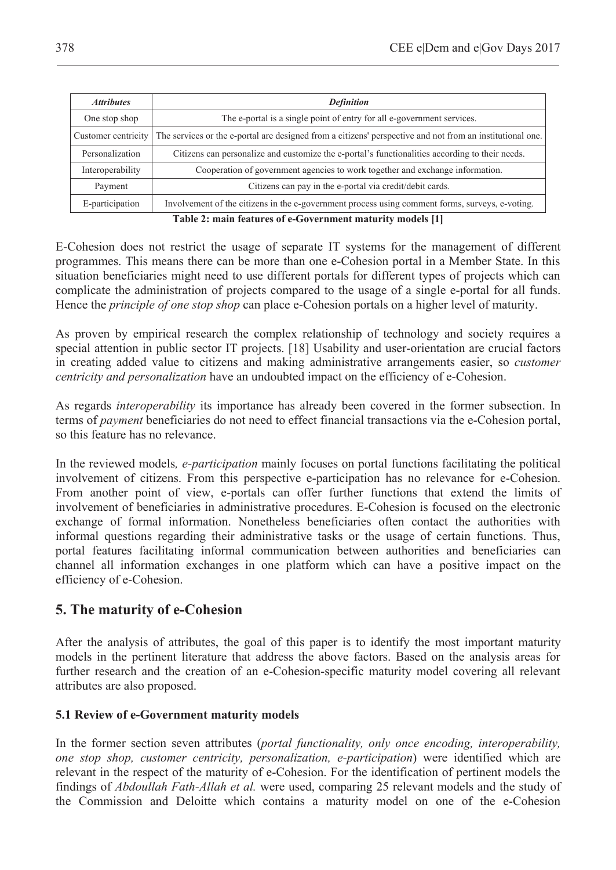| <b>Attributes</b>   | <b>Definition</b>                                                                                         |  |  |  |  |
|---------------------|-----------------------------------------------------------------------------------------------------------|--|--|--|--|
| One stop shop       | The e-portal is a single point of entry for all e-government services.                                    |  |  |  |  |
| Customer centricity | The services or the e-portal are designed from a citizens' perspective and not from an institutional one. |  |  |  |  |
| Personalization     | Citizens can personalize and customize the e-portal's functionalities according to their needs.           |  |  |  |  |
| Interoperability    | Cooperation of government agencies to work together and exchange information.                             |  |  |  |  |
| Payment             | Citizens can pay in the e-portal via credit/debit cards.                                                  |  |  |  |  |
| E-participation     | Involvement of the citizens in the e-government process using comment forms, surveys, e-voting.           |  |  |  |  |

**Table 2: main features of e-Government maturity models [1]** 

E-Cohesion does not restrict the usage of separate IT systems for the management of different programmes. This means there can be more than one e-Cohesion portal in a Member State. In this situation beneficiaries might need to use different portals for different types of projects which can complicate the administration of projects compared to the usage of a single e-portal for all funds. Hence the *principle of one stop shop* can place e-Cohesion portals on a higher level of maturity.

As proven by empirical research the complex relationship of technology and society requires a special attention in public sector IT projects. [18] Usability and user-orientation are crucial factors in creating added value to citizens and making administrative arrangements easier, so *customer centricity and personalization* have an undoubted impact on the efficiency of e-Cohesion.

As regards *interoperability* its importance has already been covered in the former subsection. In terms of *payment* beneficiaries do not need to effect financial transactions via the e-Cohesion portal, so this feature has no relevance.

In the reviewed models*, e-participation* mainly focuses on portal functions facilitating the political involvement of citizens. From this perspective e-participation has no relevance for e-Cohesion. From another point of view, e-portals can offer further functions that extend the limits of involvement of beneficiaries in administrative procedures. E-Cohesion is focused on the electronic exchange of formal information. Nonetheless beneficiaries often contact the authorities with informal questions regarding their administrative tasks or the usage of certain functions. Thus, portal features facilitating informal communication between authorities and beneficiaries can channel all information exchanges in one platform which can have a positive impact on the efficiency of e-Cohesion.

## **5. The maturity of e-Cohesion**

After the analysis of attributes, the goal of this paper is to identify the most important maturity models in the pertinent literature that address the above factors. Based on the analysis areas for further research and the creation of an e-Cohesion-specific maturity model covering all relevant attributes are also proposed.

#### **5.1 Review of e-Government maturity models**

In the former section seven attributes (*portal functionality, only once encoding, interoperability, one stop shop, customer centricity, personalization, e-participation*) were identified which are relevant in the respect of the maturity of e-Cohesion. For the identification of pertinent models the findings of *Abdoullah Fath-Allah et al.* were used, comparing 25 relevant models and the study of the Commission and Deloitte which contains a maturity model on one of the e-Cohesion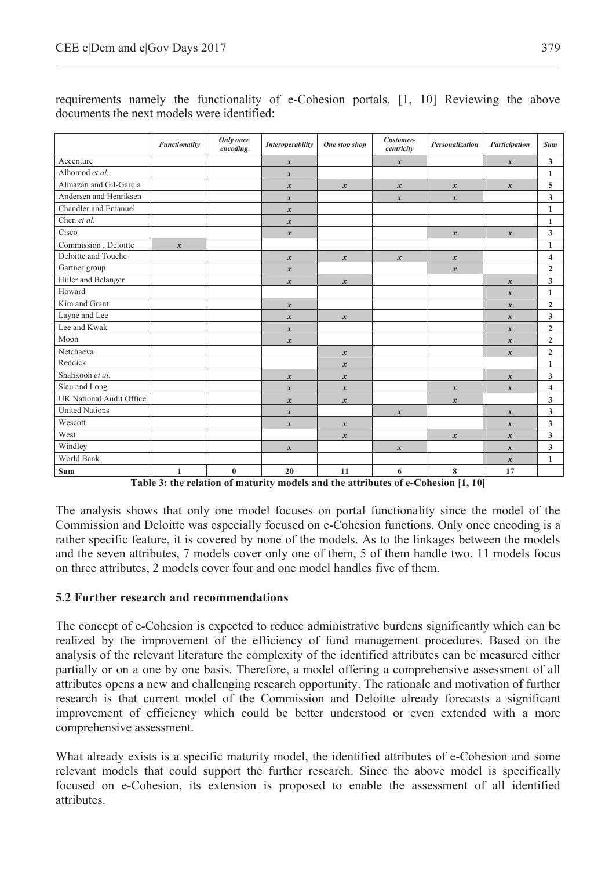|                          | Functionality                   | Only once<br>encoding                              | <b>Interoperability</b> | One stop shop                                                         | Customer-<br>centricity | Personalization                                                              | Participation    | Sum                     |
|--------------------------|---------------------------------|----------------------------------------------------|-------------------------|-----------------------------------------------------------------------|-------------------------|------------------------------------------------------------------------------|------------------|-------------------------|
| Accenture                |                                 |                                                    | $\boldsymbol{x}$        |                                                                       | $\boldsymbol{x}$        |                                                                              | $\boldsymbol{x}$ | 3                       |
| Alhomod et al.           |                                 |                                                    | $\boldsymbol{x}$        |                                                                       |                         |                                                                              |                  | 1                       |
| Almazan and Gil-Garcia   |                                 |                                                    | $\boldsymbol{x}$        | $\boldsymbol{x}$                                                      | $\boldsymbol{x}$        | $\boldsymbol{x}$                                                             | $\boldsymbol{x}$ | 5                       |
| Andersen and Henriksen   |                                 |                                                    | $\boldsymbol{x}$        |                                                                       | $\boldsymbol{x}$        | $\boldsymbol{x}$                                                             |                  | 3                       |
| Chandler and Emanuel     |                                 |                                                    | $\boldsymbol{x}$        |                                                                       |                         |                                                                              |                  | 1                       |
| Chen et al.              |                                 |                                                    | $\boldsymbol{x}$        |                                                                       |                         |                                                                              |                  | 1                       |
| Cisco                    |                                 |                                                    | $\boldsymbol{x}$        |                                                                       |                         | $\boldsymbol{x}$                                                             | $\boldsymbol{x}$ | $\overline{\mathbf{3}}$ |
| Commission, Deloitte     | $\boldsymbol{x}$                |                                                    |                         |                                                                       |                         |                                                                              |                  | 1                       |
| Deloitte and Touche      |                                 |                                                    | $\boldsymbol{x}$        | $\boldsymbol{x}$                                                      | $\mathbf{x}$            | $\boldsymbol{x}$                                                             |                  | 4                       |
| Gartner group            |                                 |                                                    | $\boldsymbol{x}$        |                                                                       |                         | $\boldsymbol{x}$                                                             |                  | $\overline{2}$          |
| Hiller and Belanger      |                                 |                                                    | $\boldsymbol{x}$        | $\boldsymbol{x}$                                                      |                         |                                                                              | $\boldsymbol{x}$ | 3                       |
| Howard                   |                                 |                                                    |                         |                                                                       |                         |                                                                              | $\boldsymbol{x}$ | 1                       |
| Kim and Grant            |                                 |                                                    | $\boldsymbol{x}$        |                                                                       |                         |                                                                              | $\boldsymbol{x}$ | $\mathbf{2}$            |
| Layne and Lee            |                                 |                                                    | $\boldsymbol{x}$        | $\boldsymbol{x}$                                                      |                         |                                                                              | $\boldsymbol{x}$ | 3                       |
| Lee and Kwak             |                                 |                                                    | $\boldsymbol{x}$        |                                                                       |                         |                                                                              | $\boldsymbol{x}$ | $\overline{2}$          |
| Moon                     |                                 |                                                    | $\boldsymbol{x}$        |                                                                       |                         |                                                                              | $\boldsymbol{x}$ | $\mathbf{2}$            |
| Netchaeva                |                                 |                                                    |                         | $\boldsymbol{x}$                                                      |                         |                                                                              | $\boldsymbol{x}$ | $\overline{2}$          |
| Reddick                  |                                 |                                                    |                         | $\boldsymbol{x}$                                                      |                         |                                                                              |                  | 1                       |
| Shahkooh et al.          |                                 |                                                    | $\boldsymbol{x}$        | $\boldsymbol{x}$                                                      |                         |                                                                              | $\boldsymbol{x}$ | 3                       |
| Siau and Long            |                                 |                                                    | $\boldsymbol{x}$        | $\boldsymbol{x}$                                                      |                         | $\boldsymbol{x}$                                                             | $\boldsymbol{x}$ | 4                       |
| UK National Audit Office |                                 |                                                    | $\boldsymbol{x}$        | $\boldsymbol{x}$                                                      |                         | $\boldsymbol{x}$                                                             |                  | 3                       |
| <b>United Nations</b>    |                                 |                                                    | $\boldsymbol{x}$        |                                                                       | $\boldsymbol{x}$        |                                                                              | $\boldsymbol{x}$ | 3                       |
| Wescott                  |                                 |                                                    | $\boldsymbol{x}$        | $\boldsymbol{x}$                                                      |                         |                                                                              | $\boldsymbol{x}$ | 3                       |
| West                     |                                 |                                                    |                         | $\boldsymbol{x}$                                                      |                         | $\boldsymbol{x}$                                                             | $\boldsymbol{x}$ | 3                       |
| Windley                  |                                 |                                                    | $\boldsymbol{x}$        |                                                                       | $\boldsymbol{x}$        |                                                                              | $\boldsymbol{x}$ | 3                       |
| World Bank               |                                 |                                                    |                         |                                                                       |                         |                                                                              | $\boldsymbol{x}$ | 1                       |
| Sum                      | $\mathbf{1}$<br>$-11 - 21 - 12$ | $\bf{0}$<br>$\mathbf{r}$ $\mathbf{r}$ $\mathbf{r}$ | 20<br><b>TELESCO</b>    | 11<br>$\mathbf{u}$ and $\mathbf{u}$ are $\mathbf{u}$ and $\mathbf{u}$ | 6                       | $\bf 8$<br>$\mathbf{c}$ $\alpha$ $\mathbf{1}$ $\mathbf{1}$<br><b>E4 4.03</b> | 17               |                         |

requirements namely the functionality of e-Cohesion portals. [1, 10] Reviewing the above documents the next models were identified:

**Table 3: the relation of maturity models and the attributes of e-Cohesion [1, 10]**

The analysis shows that only one model focuses on portal functionality since the model of the Commission and Deloitte was especially focused on e-Cohesion functions. Only once encoding is a rather specific feature, it is covered by none of the models. As to the linkages between the models and the seven attributes, 7 models cover only one of them, 5 of them handle two, 11 models focus on three attributes, 2 models cover four and one model handles five of them.

#### **5.2 Further research and recommendations**

The concept of e-Cohesion is expected to reduce administrative burdens significantly which can be realized by the improvement of the efficiency of fund management procedures. Based on the analysis of the relevant literature the complexity of the identified attributes can be measured either partially or on a one by one basis. Therefore, a model offering a comprehensive assessment of all attributes opens a new and challenging research opportunity. The rationale and motivation of further research is that current model of the Commission and Deloitte already forecasts a significant improvement of efficiency which could be better understood or even extended with a more comprehensive assessment.

What already exists is a specific maturity model, the identified attributes of e-Cohesion and some relevant models that could support the further research. Since the above model is specifically focused on e-Cohesion, its extension is proposed to enable the assessment of all identified attributes.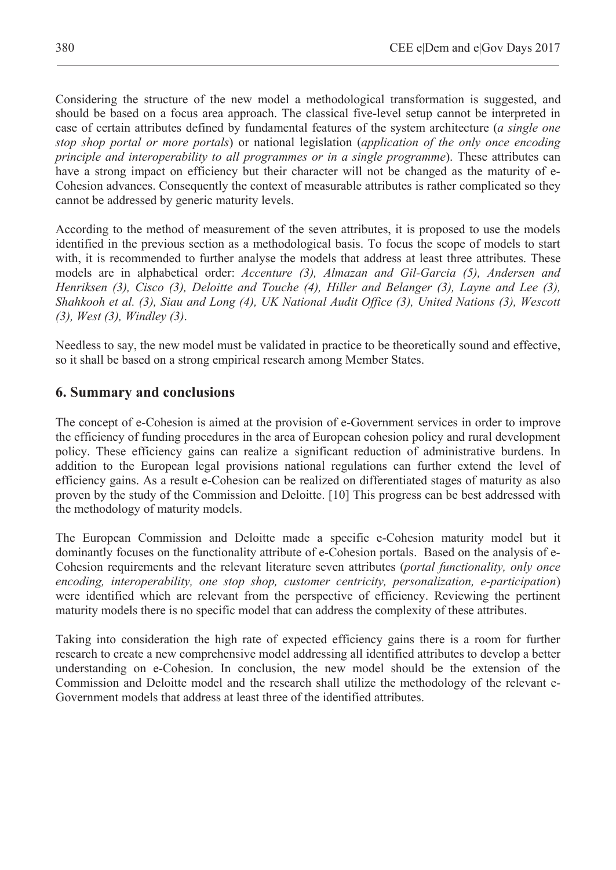Considering the structure of the new model a methodological transformation is suggested, and should be based on a focus area approach. The classical five-level setup cannot be interpreted in case of certain attributes defined by fundamental features of the system architecture (*a single one stop shop portal or more portals*) or national legislation (*application of the only once encoding principle and interoperability to all programmes or in a single programme*). These attributes can have a strong impact on efficiency but their character will not be changed as the maturity of e-Cohesion advances. Consequently the context of measurable attributes is rather complicated so they cannot be addressed by generic maturity levels.

According to the method of measurement of the seven attributes, it is proposed to use the models identified in the previous section as a methodological basis. To focus the scope of models to start with, it is recommended to further analyse the models that address at least three attributes. These models are in alphabetical order: *Accenture (3), Almazan and Gil-Garcia (5), Andersen and Henriksen (3), Cisco (3), Deloitte and Touche (4), Hiller and Belanger (3), Layne and Lee (3), Shahkooh et al. (3), Siau and Long (4), UK National Audit Office (3), United Nations (3), Wescott (3), West (3), Windley (3)*.

Needless to say, the new model must be validated in practice to be theoretically sound and effective, so it shall be based on a strong empirical research among Member States.

# **6. Summary and conclusions**

The concept of e-Cohesion is aimed at the provision of e-Government services in order to improve the efficiency of funding procedures in the area of European cohesion policy and rural development policy. These efficiency gains can realize a significant reduction of administrative burdens. In addition to the European legal provisions national regulations can further extend the level of efficiency gains. As a result e-Cohesion can be realized on differentiated stages of maturity as also proven by the study of the Commission and Deloitte. [10] This progress can be best addressed with the methodology of maturity models.

The European Commission and Deloitte made a specific e-Cohesion maturity model but it dominantly focuses on the functionality attribute of e-Cohesion portals. Based on the analysis of e-Cohesion requirements and the relevant literature seven attributes (*portal functionality, only once encoding, interoperability, one stop shop, customer centricity, personalization, e-participation*) were identified which are relevant from the perspective of efficiency. Reviewing the pertinent maturity models there is no specific model that can address the complexity of these attributes.

Taking into consideration the high rate of expected efficiency gains there is a room for further research to create a new comprehensive model addressing all identified attributes to develop a better understanding on e-Cohesion. In conclusion, the new model should be the extension of the Commission and Deloitte model and the research shall utilize the methodology of the relevant e-Government models that address at least three of the identified attributes.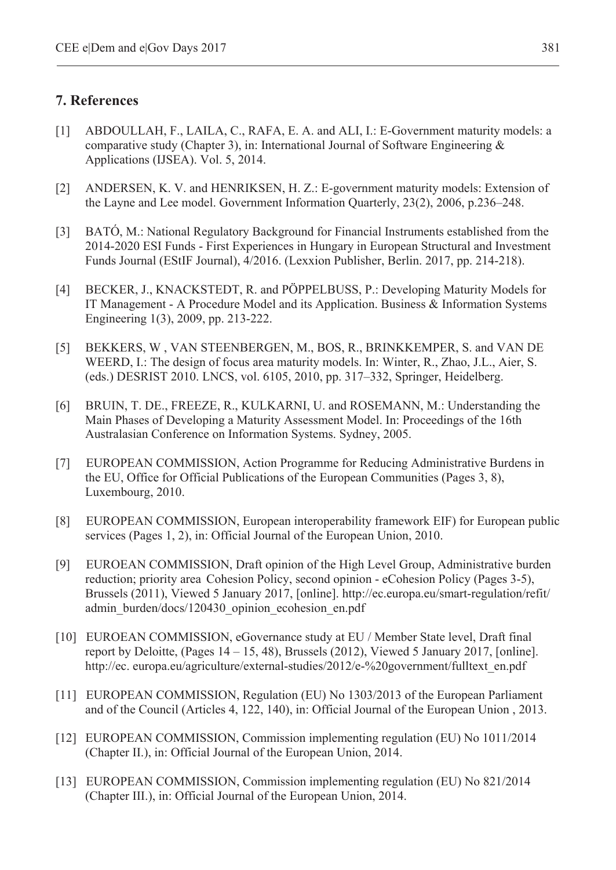# **7. References**

- [1] ABDOULLAH, F., LAILA, C., RAFA, E. A. and ALI, I.: E-Government maturity models: a comparative study (Chapter 3), in: International Journal of Software Engineering  $\&$ Applications (IJSEA). Vol. 5, 2014.
- [2] ANDERSEN, K. V. and HENRIKSEN, H. Z.: E-government maturity models: Extension of the Layne and Lee model. Government Information Quarterly, 23(2), 2006, p.236–248.
- [3] BATÓ, M.: National Regulatory Background for Financial Instruments established from the 2014-2020 ESI Funds - First Experiences in Hungary in European Structural and Investment Funds Journal (EStIF Journal), 4/2016. (Lexxion Publisher, Berlin. 2017, pp. 214-218).
- [4] BECKER, J., KNACKSTEDT, R. and PÖPPELBUSS, P.: Developing Maturity Models for IT Management - A Procedure Model and its Application. Business & Information Systems Engineering 1(3), 2009, pp. 213-222.
- [5] BEKKERS, W , VAN STEENBERGEN, M., BOS, R., BRINKKEMPER, S. and VAN DE WEERD, I.: The design of focus area maturity models. In: Winter, R., Zhao, J.L., Aier, S. (eds.) DESRIST 2010. LNCS, vol. 6105, 2010, pp. 317–332, Springer, Heidelberg.
- [6] BRUIN, T. DE., FREEZE, R., KULKARNI, U. and ROSEMANN, M.: Understanding the Main Phases of Developing a Maturity Assessment Model. In: Proceedings of the 16th Australasian Conference on Information Systems. Sydney, 2005.
- [7] EUROPEAN COMMISSION, Action Programme for Reducing Administrative Burdens in the EU, Office for Official Publications of the European Communities (Pages 3, 8), Luxembourg, 2010.
- [8] EUROPEAN COMMISSION, European interoperability framework EIF) for European public services (Pages 1, 2), in: Official Journal of the European Union, 2010.
- [9] EUROEAN COMMISSION, Draft opinion of the High Level Group, Administrative burden reduction; priority area Cohesion Policy, second opinion - eCohesion Policy (Pages 3-5), Brussels (2011), Viewed 5 January 2017, [online]. http://ec.europa.eu/smart-regulation/refit/ admin\_burden/docs/120430\_opinion\_ecohesion\_en.pdf
- [10] EUROEAN COMMISSION, eGovernance study at EU / Member State level, Draft final report by Deloitte, (Pages 14 – 15, 48), Brussels (2012), Viewed 5 January 2017, [online]. http://ec. europa.eu/agriculture/external-studies/2012/e-%20government/fulltext\_en.pdf
- [11] EUROPEAN COMMISSION, Regulation (EU) No 1303/2013 of the European Parliament and of the Council (Articles 4, 122, 140), in: Official Journal of the European Union , 2013.
- [12] EUROPEAN COMMISSION, Commission implementing regulation (EU) No 1011/2014 (Chapter II.), in: Official Journal of the European Union, 2014.
- [13] EUROPEAN COMMISSION, Commission implementing regulation (EU) No 821/2014 (Chapter III.), in: Official Journal of the European Union, 2014.